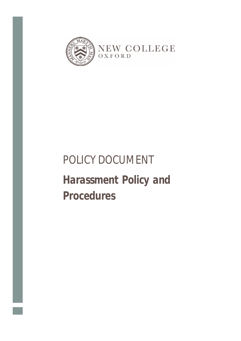

# POLICY DOCUMENT

# *Harassment Policy and Procedures*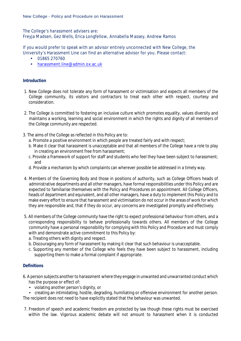The College's harassment advisers are:

Freyja Madsen, Gez Wells, Erica Longfellow, Annabella Massey, Andrew Ramos

If you would prefer to speak with an advisor entirely unconnected with New College, the University's Harassment Line can find an alternative advisor for you. Please contact:

- 01865 270760
- [harassment.line@admin.ox.ac.uk](mailto:harassment.line@admin.ox.ac.uk)

# **Introduction**

- 1. New College does not tolerate any form of harassment or victimisation and expects all members of the College community, its visitors and contractors to treat each other with respect, courtesy and consideration.
- 2. The College is committed to fostering an inclusive culture which promotes equality, values diversity and maintains a working, learning and social environment in which the rights and dignity of all members of the College community are respected.
- 3. The aims of the College as reflected in this Policy are to:
	- a. Promote a positive environment in which people are treated fairly and with respect;
	- b. Make it clear that harassment is unacceptable and that all members of the College have a role to play in creating an environment free from harassment;
	- c. Provide a framework of support for staff and students who feel they have been subject to harassment; and
	- d. Provide a mechanism by which complaints can wherever possible be addressed in a timely way.
- 4. Members of the Governing Body and those in positions of authority, such as College Officers heads of administrative departments and all other managers, have formal responsibilities under this Policy and are expected to familiarise themselves with the Policy and Procedures on appointment. All College Officers, heads of department and equivalent, and all other managers, have a duty to implement this Policy and to make every effort to ensure that harassment and victimisation do not occur in the areas of work for which they are responsible and, that if they do occur, any concerns are investigated promptly and effectively.
- 5. All members of the College community have the right to expect professional behaviour from others, and a corresponding responsibility to behave professionally towards others. All members of the College community have a personal responsibility for complying with this Policy and Procedure and must comply with and demonstrate active commitment to this Policy by:
	- a. Treating others with dignity and respect.
	- b. Discouraging any form of harassment by making it clear that such behaviour is unacceptable.
	- c. Supporting any member of the College who feels they have been subject to harassment, including supporting them to make a formal complaint if appropriate.

# **Definitions**

- 6. A person subjects another to harassment where they engage in unwanted and unwarranted conduct which has the purpose or effect of:
	- violating another person's dignity, or

• creating an intimidating, hostile, degrading, humiliating or offensive environment for another person. The recipient does not need to have explicitly stated that the behaviour was unwanted.

7. Freedom of speech and academic freedom are protected by law though these rights must be exercised within the law. Vigorous academic debate will not amount to harassment when it is conducted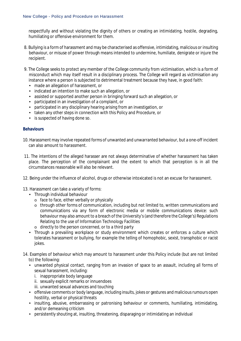respectfully and without violating the dignity of others or creating an intimidating, hostile, degrading, humiliating or offensive environment for them.

- 8. Bullying is a form of harassment and may be characterised as offensive, intimidating, malicious or insulting behaviour, or misuse of power through means intended to undermine, humiliate, denigrate or injure the recipient.
- 9. The College seeks to protect any member of the College community from victimisation, which is a form of misconduct which may itself result in a disciplinary process. The College will regard as victimisation any instance where a person is subjected to detrimental treatment because they have, in good faith:
	- made an allegation of harassment, or
	- indicated an intention to make such an allegation, or
	- assisted or supported another person in bringing forward such an allegation, or
	- participated in an investigation of a complaint, or
	- participated in any disciplinary hearing arising from an investigation, or
	- taken any other steps in connection with this Policy and Procedure, or
	- is suspected of having done so.

# **Behaviours**

- 10. Harassment may involve repeated forms of unwanted and unwarranted behaviour, but a one-off incident can also amount to harassment.
- 11. The intentions of the alleged harasser are not always determinative of whether harassment has taken place. The perception of the complainant and the extent to which that perception is in all the circumstances reasonable will also be relevant.
- 12. Being under the influence of alcohol, drugs or otherwise intoxicated is not an excuse for harassment.
- 13. Harassment can take a variety of forms:
	- Through individual behaviour
		- $\circ$  face to face, either verbally or physically
		- o through other forms of communication, including but not limited to, written communications and communications via any form of electronic media or mobile communications device: such behaviour may also amount to a breach of the University's(and therefore the College's) Regulations Relating to the use of Information Technology Facilities
		- o directly to the person concerned, or to a third party
	- Through a prevailing workplace or study environment which creates or enforces a culture which tolerates harassment or bullying, for example the telling of homophobic, sexist, transphobic or racist jokes.
- 14. Examples of behaviour which may amount to harassment under this Policy include (but are not limited to) the following:
	- unwanted physical contact, ranging from an invasion of space to an assault, including all forms of sexual harassment, including:
		- i. inappropriate body language
		- ii. sexually explicit remarks or innuendoes
		- iii. unwanted sexual advances and touching
	- offensive comments or body language, including insults, jokes or gestures and malicious rumours open hostility, verbal or physical threats
	- insulting, abusive, embarrassing or patronising behaviour or comments, humiliating, intimidating, and/or demeaning criticism
	- persistently shouting at, insulting, threatening, disparaging or intimidating an individual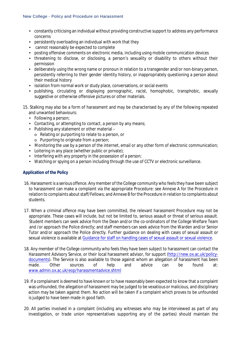- constantly criticising an individual without providing constructive support to address any performance concerns
- persistently overloading an individual with work that they
- cannot reasonably be expected to complete
- posting offensive comments on electronic media, including using mobile communication devices
- threatening to disclose, or disclosing, a person's sexuality or disability to others without their permission
- deliberately using the wrong name or pronoun in relation to a transgender and/or non-binary person, persistently referring to their gender identity history, or inappropriately questioning a person about their medical history
- isolation from normal work or study place, conversations, or social events
- publishing, circulating or displaying pornographic, racist, homophobic, transphobic, sexually suggestive or otherwise offensive pictures or other materials.
- 15. Stalking may also be a form of harassment and may be characterised by any of the following repeated and unwanted behaviours:
	- Following a person;
	- Contacting, or attempting to contact, a person by any means;
	- Publishing any statement or other material
		- o Relating or purporting to relate to a person, or
		- o Purporting to originate from a person;
	- Monitoring the use by a person of the internet, email or any other form of electronic communication;
	- Loitering in any place (whether public or private);
	- Interfering with any property in the possession of a person;
	- Watching or spying on a person including through the use of CCTV or electronic surveillance.

# **Application of the Policy**

- 16. Harassment is a serious offence. Any member of the College community who feels they have been subject to harassment can make a complaint via the appropriate Procedure: see Annexe A for the Procedure in relation to complaints about staff/Fellows; and Annexe B for the Procedure in relation to complaints about students.
- 17. When a criminal offence may have been committed, the relevant harassment Procedure may not be appropriate. These cases will include, but not be limited to, serious assault or threat of serious assault. Student members can seek advice from the Dean and/or the co-ordinators of the College Welfare Team and /or approach the Police directly; and staff members can seek advice from the Warden and/or Senior Tutor and/or approach the Police directly. Further guidance on dealing with cases of sexual assault or sexual violence is available at [Guidance for staff on handling cases of sexual assault or sexual violence.](http://www.admin.ox.ac.uk/eop/harassmentadvice/policyandprocedure/guidance/)
- 18. Any member of the College community who feels they have been subject to harassment can contact the Harassment Advisory Service, or their local harassment advisor, for support [\(http://new.ox.ac.uk/policy](http://new.ox.ac.uk/policy-documents)[documents\)](http://new.ox.ac.uk/policy-documents). The Service is also available to those against whom an allegation of harassment has been made. Other sources of help and advice can be found at: [www.admin.ox.ac.uk/eop/harassmentadvice.shtml](http://www.admin.ox.ac.uk/eop/harassmentadvice/)
- 19. If a complainant is deemed to have known or to have reasonably been expected to know that a complaint was unfounded, the allegation of harassment may be judged to be vexatious or malicious, and disciplinary action may be taken against them. No action will be taken if a complaint which proves to be unfounded is judged to have been made in good faith.
- 20. All parties involved in a complaint (including any witnesses who may be interviewed as part of any investigation, or trade union representatives supporting any of the parties) should maintain the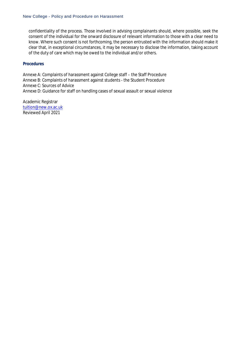confidentiality of the process. Those involved in advising complainants should, where possible, seek the consent of the individual for the onward disclosure of relevant information to those with a clear need to know. Where such consent is not forthcoming, the person entrusted with the information should make it clear that, in exceptional circumstances, it may be necessary to disclose the information, taking account of the duty of care which may be owed to the individual and/or others.

#### **Procedures**

Annexe A: Complaints of harassment against College staff – the Staff Procedure Annexe B: Complaints of harassment against students - the Student Procedure Annexe C: Sources of Advice Annexe D: Guidance for staff on handling cases of sexual assault or sexual violence

Academic Registrar [tuition@new.ox.ac.uk](mailto:tuition@new.ox.ac.uk) Reviewed April 2021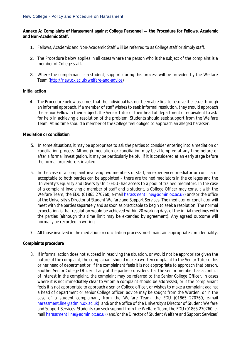# **Annexe A: Complaints of Harassment against College Personnel — the Procedure for Fellows, Academic and Non-Academic Staff.**

- 1. Fellows, Academic and Non-Academic Staff will be referred to as College staff or simply staff.
- 2. The Procedure below applies in all cases where the person who is the subject of the complaint is a member of College staff.
- 3. Where the complainant is a student, support during this process will be provided by the Welfare Team [\(http://new.ox.ac.uk/welfare-and-advice\)](http://new.ox.ac.uk/welfare-and-advice)

# **Initial action**

4. The Procedure below assumes that the individual has not been able first to resolve the issue through an informal approach. If a member of staff wishes to seek informal resolution, they should approach the senior Fellow in their subject, the Senior Tutor or their head of department or equivalent to ask for help in achieving a resolution of the problem. Students should seek support from the Welfare Team. At no time should a member of the College feel obliged to approach an alleged harasser.

# **Mediation or conciliation**

- 5. In some situations, it may be appropriate to ask the parties to consider entering into a mediation or conciliation process. Although mediation or conciliation may be attempted at any time before or after a formal investigation, it may be particularly helpful if it is considered at an early stage before the formal procedure is invoked.
- 6. In the case of a complaint involving two members of staff, an experienced mediator or conciliator acceptable to both parties can be appointed – there are trained mediators in the colleges and the University's Equality and Diversity Unit (EDU) has access to a pool of trained mediators. In the case of a complaint involving a member of staff and a student, a College Officer may consult with the Welfare Team, the EDU (01865 270760, e-mail [harassment.line@admin.ox.ac.uk\)](mailto:harassment.line@admin.ox.ac.uk) and/or the office of the University's Director of Student Welfare and Support Services. The mediator or conciliator will meet with the parties separately and as soon as practicable to begin to seek a resolution. The normal expectation is that resolution would be achieved within 20 working days of the initial meetings with the parties (although this time limit may be extended by agreement). Any agreed outcome will normally be recorded in writing.
- 7. All those involved in the mediation or conciliation process must maintain appropriate confidentiality.

# **Complaints procedure**

8. If informal action does not succeed in resolving the situation, or would not be appropriate given the nature of the complaint, the complainant should make a written complaint to the Senior Tutor or his or her head of department or, if the complainant feels it is not appropriate to approach that person, another Senior College Officer. If any of the parties considers that the senior member has a conflict of interest in the complaint, the complaint may be referred to the Senior College Officer. In cases where it is not immediately clear to whom a complaint should be addressed, or if the complainant feels it is not appropriate to approach a senior College officer, or wishes to make a complaint against a head of department or senior College officer, advice may be sought from the Warden, or in the case of a student complainant, from the Welfare Team, the EDU (01865 270760, e-mail [harassment.line@admin.ox.ac.uk\)](mailto:harassment.line@admin.ox.ac.uk) and/or the office of the University's Director of Student Welfare and Support Services. Students can seek support from the Welfare Team, the EDU (01865 270760, email [harassment.line@admin.ox.ac.uk\)](mailto:harassment.line@admin.ox.ac.uk) and/or the Director of Student Welfare and Support Services'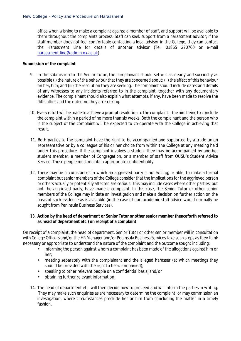office when wishing to make a complaint against a member of staff, and support will be available to them throughout the complaints process. Staff can seek support from a harassment advisor; if the staff member does not feel comfortable contacting a local advisor in the College, they can contact the Harassment Line for details of another advisor (Tel. 01865 270760 or e-mail [harassment.line@admin.ox.ac.uk\)](mailto:harassment.line@admin.ox.ac.uk).

# **Submission of the complaint**

- 9. In the submission to the Senior Tutor, the complainant should set out as clearly and succinctly as possible (i) the nature of the behaviour that they are concerned about; (ii) the effect of this behaviour on her/him; and (iii) the resolution they are seeking. The complaint should include dates and details of any witnesses to any incidents referred to in the complaint, together with any documentary evidence. The complainant should also explain what attempts, if any, have been made to resolve the difficulties and the outcome they are seeking.
- 10. Every effort will be made to achieve a prompt resolution to the complaint the aim being to conclude the complaint within a period of no more than six weeks. Both the complainant and the person who is the subject of the complaint will be expected to co-operate with the College in achieving that result.
- 11. Both parties to the complaint have the right to be accompanied and supported by a trade union representative or by a colleague of his or her choice from within the College at any meeting held under this procedure. If the complaint involves a student they may be accompanied by another student member, a member of Congregation, or a member of staff from OUSU's Student Advice Service. These people must maintain appropriate confidentiality.
- 12. There may be circumstances in which an aggrieved party is not willing, or able, to make a formal complaint but senior members of the College consider that the implications for the aggrieved person or others actually or potentially affected are serious. This may include cases where other parties, but not the aggrieved party, have made a complaint. In this case, the Senior Tutor or other senior members of the College may initiate an investigation and make a decision on further action on the basis of such evidence as is available (in the case of non-academic staff advice would normally be sought from Peninsula Business Services).

# 13. **Action by the head of department or Senior Tutor or other senior member (henceforth referred to as head of department etc.) on receipt of a complaint**

On receipt of a complaint, the head of department, Senior Tutor or other senior member will in consultation with College Officers and/or the HR Manager and/or Peninsula Business Services take such steps asthey think necessary or appropriate to understand the nature of the complaint and the outcome sought including:

- informing the person against whom a complaint has been made of the allegations against him or her;
- meeting separately with the complainant and the alleged harasser (at which meetings they should be provided with the right to be accompanied);
- speaking to other relevant people on a confidential basis; and/or
- obtaining further relevant information.
- 14. The head of department etc. will then decide how to proceed and will inform the parties in writing. They may make such enquiries as are necessary to determine the complaint, or may commission an investigation, where circumstances preclude her or him from concluding the matter in a timely fashion.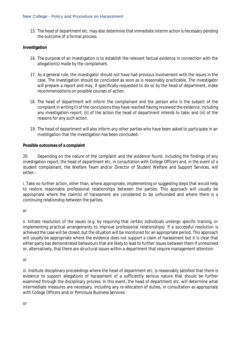15. The head of department etc. may also determine that immediate interim action is necessary pending the outcome of a formal process.

#### **Investigation**

- 16. The purpose of an investigation is to establish the relevant factual evidence in connection with the allegation(s) made by the complainant.
- 17. As a general rule, the investigator should not have had previous involvement with the issues in the case. The investigation should be concluded as soon as is reasonably practicable. The investigator will prepare a report and may, if specifically requested to do so by the head of department, make recommendations on possible courses of action.
- 18. The head of department will inform the complainant and the person who is the subject of the complaint in writing (i) of the conclusions they have reached having reviewed the evidence, including any investigation report; (ii) of the action the head of department intends to take; and (iii) of the reasons for any such action.
- 19. The head of department will also inform any other parties who have been asked to participate in an investigation that the investigation has been concluded.

#### **Possible outcomes of a complaint**

20. Depending on the nature of the complaint and the evidence found, including the findings of any investigation report, the head of department etc, in consultation with College Officers and, in the event of a student complainant, the Welfare Team and/or Director of Student Welfare and Support Services, will either:-

i. Take no further action, other than, where appropriate, implementing or suggesting steps that would help to restore reasonable professional relationships between the parties. This approach will usually be appropriate where the claim(s) of harassment are considered to be unfounded and where there is a continuing relationship between the parties.

#### *or*

ii. Initiate resolution of the issues (e.g. by requiring that certain individuals undergo specific training, or implementing practical arrangements to improve professional relationships). If a successful resolution is achieved the case will be closed, but the situation will be monitored for an appropriate period. This approach will usually be appropriate where the evidence does not support a claim of harassment but it is clear that either party has demonstrated behaviours that are likely to lead to further issues between them if unresolved or, alternatively, that there are structural issues within a department that require management attention.

*or*

iii. Institute disciplinary proceedings where the head of department etc. is reasonably satisfied that there is evidence to support allegations of harassment of a sufficiently serious nature that should be further examined through the disciplinary process. In this event, the head of department etc. will determine what intermediate measures are necessary, including any re-allocation of duties, in consultation as appropriate with College Officers and/or Peninsula Business Services.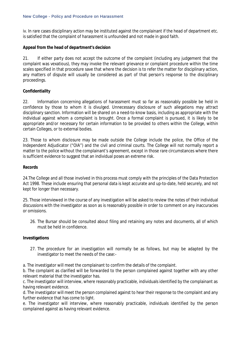iv. In rare cases disciplinary action may be instituted against the complainant if the head of department etc. is satisfied that the complaint of harassment is unfounded and not made in good faith.

# **Appeal from the head of department's decision**

21. If either party does not accept the outcome of the complaint (including any judgement that the complaint was vexatious), they may invoke the relevant grievance or complaint procedure within the time scales specified in that procedure save that where the decision is to refer the matter for disciplinary action, any matters of dispute will usually be considered as part of that person's response to the disciplinary proceedings.

# **Confidentiality**

22. Information concerning allegations of harassment must so far as reasonably possible be held in confidence by those to whom it is divulged. Unnecessary disclosure of such allegations may attract disciplinary sanction. Information will be shared on a need-to-know basis, including as appropriate with the individual against whom a complaint is brought. Once a formal complaint is pursued, it is likely to be appropriate and/or necessary for certain information to be provided to others within the College, within certain Colleges, or to external bodies.

23. Those to whom disclosure may be made outside the College include the police, the Office of the Independent Adjudicator ("OIA") and the civil and criminal courts. The College will not normally report a matter to the police without the complainant's agreement, except in those rare circumstances where there is sufficient evidence to suggest that an individual poses an extreme risk.

# **Records**

24.The College and all those involved in this process must comply with the principles of the Data Protection Act 1998. These include ensuring that personal data is kept accurate and up-to-date, held securely, and not kept for longer than necessary.

25. Those interviewed in the course of any investigation will be asked to review the notes of their individual discussions with the investigator as soon as is reasonably possible in order to comment on any inaccuracies or omissions.

26. The Bursar should be consulted about filing and retaining any notes and documents, all of which must be held in confidence.

# **Investigations**

27. The procedure for an investigation will normally be as follows, but may be adapted by the investigator to meet the needs of the case:-

a. The investigator will meet the complainant to confirm the details of the complaint.

b. The complaint as clarified will be forwarded to the person complained against together with any other relevant material that the investigator has.

c. The investigator will interview, where reasonably practicable, individuals identified by the complainant as having relevant evidence.

d. The investigator will meet the person complained against to hear their response to the complaint and any further evidence that has come to light.

e. The investigator will interview, where reasonably practicable, individuals identified by the person complained against as having relevant evidence.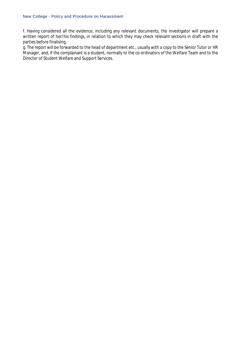f. Having considered all the evidence, including any relevant documents, the investigator will prepare a written report of her/his findings, in relation to which they may check relevant sections in draft with the parties before finalising.

g. The report will be forwarded to the head of department etc., usually with a copy to the Senior Tutor or HR Manager, and, if the complainant is a student, normally to the co-ordinators of the Welfare Team and to the Director of Student Welfare and Support Services.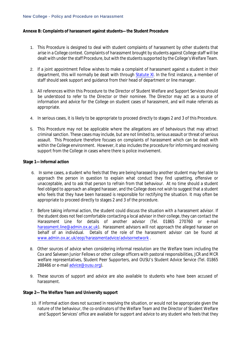#### **Annexe B: Complaints of harassment against students—the Student Procedure**

- 1. This Procedure is designed to deal with student complaints of harassment by other students that arise in a College context. Complaints of harassment brought by students against College staff will be dealt with under the staff Procedure, but with the students supported by the College's Welfare Team.
- 2. If a joint appointment Fellow wishes to make a complaint of harassment against a student in their department, this will normally be dealt with through [Statute](http://www.admin.ox.ac.uk/statutes/352-051a.shtml#_Toc28142342) XI. In the first instance, a member of staff should seek support and guidance from their head of department or line manager.
- 3. All references within this Procedure to the Director of Student Welfare and Support Services should be understood to refer to the Director or their nominee. The Director may act as a source of information and advice for the College on student cases of harassment, and will make referrals as appropriate.
- 4. In serious cases, it is likely to be appropriate to proceed directly to stages 2 and 3 of this Procedure.
- 5. This Procedure may not be applicable where the allegations are of behaviours that may attract criminal sanction. These cases may include, but are not limited to, serious assault or threat ofserious assault. This Procedure therefore focuses on complaints of harassment which can be dealt with within the College environment. However, it also includes the procedure for informing and receiving support from the College in cases where there is police involvement.

#### **Stage 1—Informal action**

- 6. In some cases, a student who feels that they are being harassed by another student may feel able to approach the person in question to explain what conduct they find upsetting, offensive or unacceptable, and to ask that person to refrain from that behaviour. At no time should a student feel obliged to approach an alleged harasser, and the College does not wish to suggest that a student who feels that they have been harassed is responsible for rectifying the situation. It may often be appropriate to proceed directly to stages 2 and 3 of the procedure.
- 7. Before taking informal action, the student could discuss the situation with a harassment advisor. If the student does not feel comfortable contacting a local advisor in their college, they can contact the Harassment Line for details of another advisor (Tel. 01865 270760 or e-mail [harassment.line@admin.ox.ac.uk\)](mailto:harassment.line@admin.ox.ac.uk). Harassment advisors will not approach the alleged harasser on behalf of an individual. Details of the role of the harassment advisor can be found at [www.admin.ox.ac.uk/eop/harassmentadvice/advisornetwork](http://www.admin.ox.ac.uk/eop/harassmentadvice/advisornetwork) .
- 8. Other sources of advice when considering informal resolution are the Welfare team including the Cox and Salvesen Junior Fellows or other college officers with pastoral responsibilities, JCR and MCR welfare representatives, Student Peer Supporters, and OUSU's Student Advice Service (Tel. 01865 288466 or e-mail [advice@ousu.org\)](mailto:advice@ousu.org).
- 9. These sources of support and advice are also available to students who have been accused of harassment.

# **Stage 2—The Welfare Team and University support**

10. If informal action does not succeed in resolving the situation, or would not be appropriate given the nature of the behaviour, the co-ordinators of the Welfare Team and the Director of Student Welfare and Support Services' office are available for support and advice to any student who feels that they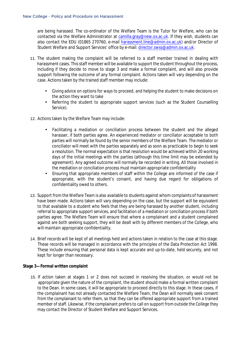are being harassed. The co-ordinator of the Welfare Team is the Tutor for Welfare, who can be contacted via the Welfare Administrator at [camilla.gray@new.ox.ac.uk.](mailto:camilla.gray@new.ox.ac.uk) If they wish, students can also contact the EDU (01865 270760, e-mail [harassment.line@admin.ox.ac.uk\)](mailto:harassment.line@admin.ox.ac.uk) and/or Director of Student Welfare and Support Services' office by e-mail: [director.swss@admin.ox.ac.uk.](mailto:director.swss@admin.ox.ac.uk)

- 11. The student making the complaint will be referred to a staff member trained in dealing with harassment cases. This staff member will be available to support the student throughout the process, including if they decide to move to stage 3 and make a formal complaint, and will also provide support following the outcome of any formal complaint. Actions taken will vary depending on the case. Actions taken by the trained staff member may include:
	- Giving advice on options for ways to proceed, and helping the student to make decisions on the action they want to take
	- Referring the student to appropriate support services (such as the Student Counselling Service).
- 12. Actions taken by the Welfare Team may include:
	- Facilitating a mediation or conciliation process between the student and the alleged harasser, if both parties agree. An experienced mediator or conciliator acceptable to both parties will normally be found by the senior members of the Welfare Team. The mediator or conciliator will meet with the parties separately and as soon as practicable to begin to seek a resolution. The normal expectation is that resolution would be achieved within 20 working days of the initial meetings with the parties (although this time limit may be extended by agreement). Any agreed outcome will normally be recorded in writing. All those involved in the mediation or conciliation process must maintain appropriate confidentiality
	- Ensuring that appropriate members of staff within the College are informed of the case if appropriate, with the student's consent, and having due regard for obligations of confidentiality owed to others.
- 13. Support from the Welfare Team is also available to students against whom complaints of harassment have been made. Actions taken will vary depending on the case, but the support will be equivalent to that available to a student who feels that they are being harassed by another student, including referral to appropriate support services, and facilitation of a mediation or conciliation process if both parties agree. The Welfare Team will ensure that where a complainant and a student complained against are both seeking support, they will be dealt with by different members of the College, who will maintain appropriate confidentiality.
- 14. Brief records will be kept of all meetings held and actions taken in relation to the case at this stage. These records will be managed in accordance with the principles of the Data Protection Act 1998. These include ensuring that personal data is kept accurate and up-to-date, held securely, and not kept for longer than necessary.

# **Stage 3—Formal written complaint**

15. If action taken at stages 1 or 2 does not succeed in resolving the situation, or would not be appropriate given the nature of the complaint, the student should make a formal written complaint to the Dean. In some cases, it will be appropriate to proceed directly to this stage. In these cases, if the complainant has not already contacted the Welfare Team, the Dean will normally seek consent from the complainant to refer them, so that they can be offered appropriate support from a trained member ofstaff. Likewise, if the complainant prefers to call on support from outside the College they may contact the Director of Student Welfare and Support Services.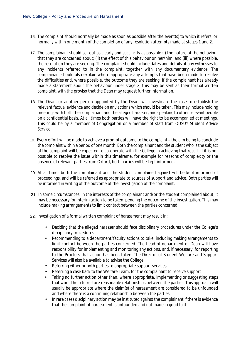- 16. The complaint should normally be made as soon as possible after the event(s) to which it refers, or normally within one month of the completion of any resolution attempts made at stages 1 and 2.
- 17. The complainant should set out as clearly and succinctly as possible (i) the nature of the behaviour that they are concerned about; (ii) the effect of this behaviour on her/him; and (iii) where possible, the resolution they are seeking. The complaint should include dates and details of any witnesses to any incidents referred to in the complaint, together with any documentary evidence. The complainant should also explain where appropriate any attempts that have been made to resolve the difficulties and, where possible, the outcome they are seeking. If the complainant has already made a statement about the behaviour under stage 2, this may be sent as their formal written complaint, with the proviso that the Dean may request further information.
- 18. The Dean, or another person appointed by the Dean, will investigate the case to establish the relevant factual evidence and decide on any actions which should be taken. This may include holding meetings with both the complainant and the alleged harasser, and speaking to other relevant people on a confidential basis. At all times both parties will have the right to be accompanied at meetings. This could be by a member of Congregation or a member of staff from OUSU's Student Advice Service.
- 19. Every effort will be made to achieve a prompt outcome to the complaint the aim being to conclude the complaint within a period of one month. Both the complainant and the student who isthe subject of the complaint will be expected to co-operate with the College in achieving that result. If it is not possible to resolve the issue within this timeframe, for example for reasons of complexity or the absence of relevant parties from Oxford, both parties will be kept informed.
- 20. At all times both the complainant and the student complained against will be kept informed of proceedings, and will be referred as appropriate to sources of support and advice. Both parties will be informed in writing of the outcome of the investigation of the complaint.
- 21. In some circumstances, in the interests of the complainant and/or the student complained about, it may be necessary for interim action to be taken, pending the outcome of the investigation. This may include making arrangements to limit contact between the parties concerned.
- 22. Investigation of a formal written complaint of harassment may result in:
	- Deciding that the alleged harasser should face disciplinary procedures under the College's disciplinary procedures
	- Recommending to a department/faculty actions to take, including making arrangements to limit contact between the parties concerned. The head of department or Dean will have responsibility for implementing and monitoring any actions, and, if necessary, for reporting to the Proctors that action has been taken. The Director of Student Welfare and Support Services will also be available to advise the College.
	- Referring either or both parties to appropriate support services
	- Referring a case back to the Welfare Team, for the complainant to receive support
	- Taking no further action other than, where appropriate, implementing or suggesting steps that would help to restore reasonable relationships between the parties. This approach will usually be appropriate where the claim(s) of harassment are considered to be unfounded and where there is a continuing relationship between the parties
	- In rare cases disciplinary action may be instituted against the complainant if there is evidence that the complaint of harassment is unfounded and not made in good faith.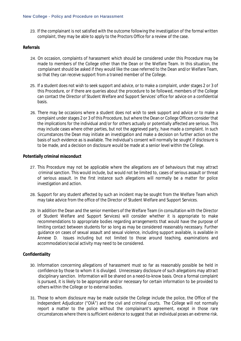23. If the complainant is not satisfied with the outcome following the investigation of the formal written complaint, they may be able to apply to the Proctors Office for a review of the case.

#### **Referrals**

- 24. On occasion, complaints of harassment which should be considered under this Procedure may be made to members of the College other than the Dean or the Welfare Team. In this situation, the complainant should be asked if they would like the case referred to the Dean and/or Welfare Team, so that they can receive support from a trained member of the College.
- 25. If a student does not wish to seek support and advice, or to make a complaint, under stages 2 or 3 of this Procedure, or if there are queries about the procedure to be followed, members of the College can contact the Director of Student Welfare and Support Services' office for advice on a confidential basis.
- 26. There may be occasions where a student does not wish to seek support and advice or to make a complaint under stages 2 or 3 of this Procedure, but where the Dean or College Officers consider that the implications for the individual and/or for others actually or potentially affected are serious. This may include cases where other parties, but not the aggrieved party, have made a complaint. In such circumstances the Dean may initiate an investigation and make a decision on further action on the basis of such evidence as is available. The individual's consent will normally be sought if disclosure is to be made, and a decision on disclosure would be made at a senior level within the College.

#### **Potentially criminal misconduct**

- 27. This Procedure may not be applicable where the allegations are of behaviours that may attract criminal sanction. This would include, but would not be limited to, cases of serious assault or threat of serious assault. In the first instance such allegations will normally be a matter for police investigation and action.
- 28. Support for any student affected by such an incident may be sought from the Welfare Team which may take advice from the office of the Director of Student Welfare and Support Services.
- 29. In addition the Dean and the senior members of the Welfare Team (in consultation with the Director of Student Welfare and Support Services) will consider whether it is appropriate to make recommendations to appropriate bodies regarding arrangements that would have the purpose of limiting contact between students for so long as may be considered reasonably necessary. Further guidance on cases of sexual assault and sexual violence, including support available, is available in Annexe D. Issues including but not limited to those around teaching, examinations and accommodation/social activity may need to be considered.

# **Confidentiality**

- 30. Information concerning allegations of harassment must so far as reasonably possible be held in confidence by those to whom it is divulged. Unnecessary disclosure of such allegations may attract disciplinary sanction. Information will be shared on a need-to-know basis. Once a formal complaint is pursued, it is likely to be appropriate and/or necessary for certain information to be provided to others within the College or to external bodies.
- 31. Those to whom disclosure may be made outside the College include the police, the Office of the Independent Adjudicator ("OIA") and the civil and criminal courts. The College will not normally report a matter to the police without the complainant's agreement, except in those rare circumstances where there is sufficient evidence to suggest that an individual poses an extreme risk.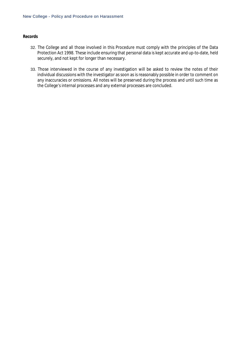#### **Records**

- 32. The College and all those involved in this Procedure must comply with the principles of the Data Protection Act 1998. These include ensuring that personal data is kept accurate and up-to-date, held securely, and not kept for longer than necessary.
- 33. Those interviewed in the course of any investigation will be asked to review the notes of their individual discussions with the investigator as soon as is reasonably possible in order to comment on any inaccuracies or omissions. All notes will be preserved during the process and until such time as the College's internal processes and any external processes are concluded.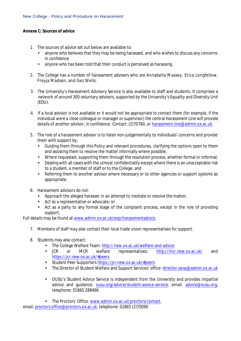# **Annexe C: Sources of advice**

- 1. The sources of advice set out below are available to:
	- anyone who believes that they may be being harassed, and who wishes to discuss any concerns in confidence
	- anyone who has been told that their conduct is perceived as harassing.
- 2. The College has a number of harassment advisers who are Annabella Massey, Erica Longfellow, Freyja Madsen, and Gez Wells.
- 3. The University's Harassment Advisory Service is also available to staff and students. It comprises a network of around 300 voluntary advisors, supported by the University's Equality and Diversity Unit (EDU).
- 4. If a local advisor is not available or it would not be appropriate to contact them (for example, if the individual were a close colleague or manager or supervisor) the central Harassment Line will provide details of another advisor, in confidence. Contact: (2)70760, or [harassment.line@admin.ox.ac.uk.](mailto:harassment.line@admin.ox.ac.uk)
- 5. The role of a harassment advisor is to listen non-judgementally to individuals' concerns and provide them with support by:
	- Guiding them through this Policy and relevant procedures, clarifying the options open to them and assisting them to resolve the matter informally where possible;
	- Where requested, supporting them through the resolution process, whether formal or informal;
	- Dealing with all cases with the utmost confidentiality except where there is an unacceptable risk to a student, a member of staff or to the College; and
	- Referring them to another advisor where necessary or to other agencies or support systems as appropriate.
- 6. Harassment advisors do not:
	- Approach the alleged harasser in an attempt to mediate or resolve the matter;
	- Act as a representative or advocate; or
	- Act as a party to any formal stage of the complaint process, except in the role of providing support.

Full details may be found at [www.admin.ox.ac.uk/eop/harassmentadvice.](http://www.admin.ox.ac.uk/eop/harassmentadvice)

- 7. Members of staff may also contact their local trade union representatives for support.
- 8. Students may also contact:
	- The College Welfare Team[: http://new.ox.ac.uk/welfare-and-advice](http://new.ox.ac.uk/welfare-and-advice)
	- JCR or MCR welfare representatives: <http://mcr.new.ox.ac.uk/> and <https://jcr.new.ox.ac.uk/#peers>
	- Student Peer Supporters<https://jcr.new.ox.ac.uk/#peers>
	- The Director of Student Welfare and Support Services' office: [director.swss@admin.ox.ac.uk](mailto:director.swss@admin.ox.ac.uk)
	- OUSU's Student Advice Service is independent from the University and provides impartial advice and guidance: [ousu.org/advice/student-advice-service,](http://ousu.org/advice/student-advice-service/) email: [advice@ousu.org,](mailto:advice@ousu.org) telephone: 01865 288466
	- The Proctors' Office[: www.admin.ox.ac.uk/proctors/contact,](http://www.admin.ox.ac.uk/proctors/contact)

email[: proctors.office@proctors.ox.ac.uk,](mailto:proctors.office@proctors.ox.ac.uk) telephone: 01865 (2)70090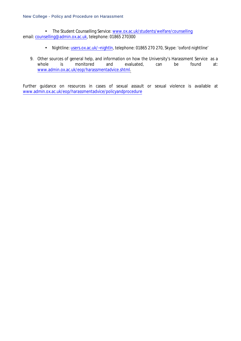• The Student Counselling Service: [www.ox.ac.uk/students/welfare/counselling](http://www.ox.ac.uk/students/welfare/counselling) email[: counselling@admin.ox.ac.uk,](mailto:counselling@admin.ox.ac.uk) telephone: 01865 270300

- Nightline[: users.ox.ac.uk/~nightln,](http://users.ox.ac.uk/~nightln/) telephone: 01865 270 270, Skype: 'oxford nightline'
- 9. Other sources of general help, and information on how the University's Harassment Service as a whole is monitored and evaluated, can be found at: [www.admin.ox.ac.uk/eop/harassmentadvice.shtml.](http://www.admin.ox.ac.uk/eop/harassmentadvice.shtml)

Further guidance on resources in cases of sexual assault or sexual violence is available at [www.admin.ox.ac.uk/eop/harassmentadvice/policyandprocedure](http://www.admin.ox.ac.uk/eop/harassmentadvice/policyandprocedure)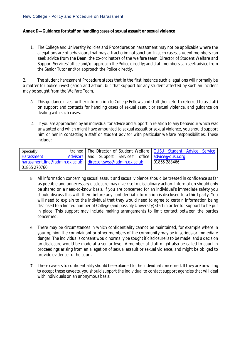#### **Annex D—Guidance for staff on handling cases of sexual assault or sexual violence**

1. The College and University Policies and Procedures on harassment may not be applicable where the allegations are of behaviours that may attract criminal sanction. In such cases, student members can seek advice from the Dean, the co-ordinators of the welfare team, Director of Student Welfare and Support Services' office and/or approach the Police directly; and staff members can seek advice from the Senior Tutor and/or approach the Police directly.

2. The student harassment Procedure states that in the first instance such allegations will normally be a matter for police investigation and action, but that support for any student affected by such an incident may be sought from the Welfare Team.

- 3. This guidance gives further information to College Fellows and staff (henceforth referred to as staff) on support and contacts for handling cases of sexual assault or sexual violence, and guidance on dealing with such cases.
- 4. If you are approached by an individual for advice and support in relation to any behaviour which was unwanted and which might have amounted to sexual assault or sexual violence, you should support him or her in contacting a staff or student advisor with particular welfare responsibilities. These include:

| Specially                                                                 |  |  |  | trained   The Director of Student Welfare   OUSU Student Advice Service |             |  |  |  |  |
|---------------------------------------------------------------------------|--|--|--|-------------------------------------------------------------------------|-------------|--|--|--|--|
| <b>Harassment</b>                                                         |  |  |  | Advisors and Support Services' office advice@ousu.org                   |             |  |  |  |  |
| $\frac{1}{2}$ harassment.line@admin.ox.ac.uk director.swss@admin.ox.ac.uk |  |  |  |                                                                         | 01865288466 |  |  |  |  |
| 01865 270760                                                              |  |  |  |                                                                         |             |  |  |  |  |

- 5. All information concerning sexual assault and sexual violence should be treated in confidence as far as possible and unnecessary disclosure may give rise to disciplinary action. Information should only be shared on a need-to-know basis. If you are concerned for an individual's immediate safety you should discuss this with them before any confidential information is disclosed to a third party. You will need to explain to the individual that they would need to agree to certain information being disclosed to a limited number of College (and possibly University) staff in order for support to be put in place. This support may include making arrangements to limit contact between the parties concerned.
- 6. There may be circumstances in which confidentiality cannot be maintained, for example where in your opinion the complainant or other members of the community may be in serious or immediate danger. The individual's consent would normally be sought if disclosure is to be made, and a decision on disclosure would be made at a senior level. A member of staff might also be called to court in proceedings arising from an allegation of sexual assault or sexual violence, and might be obliged to provide evidence to the court.
- 7. These caveats to confidentiality should be explained to the individual concerned. If they are unwilling to accept these caveats, you should support the individual to contact support agencies that will deal with individuals on an anonymous basis: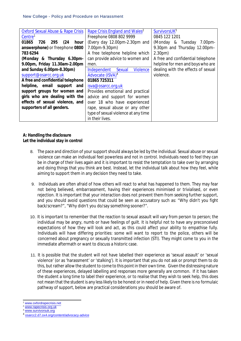| <b>Oxford Sexual Abuse &amp; Rape Crisis</b> | Rape Crisis England and Wales <sup>2</sup>             | SurvivorsUK <sup>3</sup>           |
|----------------------------------------------|--------------------------------------------------------|------------------------------------|
| Centre <sup>1</sup>                          | Freephone 0808 802 9999                                | 0845 122 1201                      |
| 01865<br>726<br>295<br>(24)<br>hour          | (Every day 12.00pm-2.30pm and                          | (Monday & Tuesday 7.00pm-          |
| answerphone) or freephone 0800               | $7.00 \text{pm} - 9.30 \text{pm}$                      | 9.30pm and Thursday 12.00pm-       |
| 783 6294                                     | A free telephone helpline which                        | 2.30 <sub>pm</sub>                 |
| (Monday & Thursday 6.30pm-                   | can provide advice to women and                        | A free and confidential telephone  |
| 9.00pm, Friday 11.30am-2.00pm                | men.                                                   | helpline for men and boys who are  |
| and Sunday 6.00pm-8.30pm)                    | <b>Violence</b><br><b>Independent</b><br><b>Sexual</b> | dealing with the effects of sexual |
| support@osarcc.org.uk                        | <b>Advocate (ISVA)</b> <sup>4</sup>                    | violence.                          |
| A free and confidential telephone            | 01865 725311                                           |                                    |
| helpline, email support and                  | isva@osarcc.org.uk                                     |                                    |
| support groups for women and                 | Provides emotional and practical                       |                                    |
| girls who are dealing with the               | advice and support for women                           |                                    |
| effects of sexual violence, and              | over 18 who have experienced                           |                                    |
| supporters of all genders.                   | rape, sexual abuse or any other                        |                                    |
|                                              | type of sexual violence at any time                    |                                    |
|                                              | in their lives.                                        |                                    |

# **A: Handling the disclosure Let the individual stay in control**

- 8. The pace and direction of yoursupport should always be led by the individual. Sexual abuse or sexual violence can make an individual feel powerless and not in control. Individuals need to feel they can be in charge of their lives again and it is important to resist the temptation to take over by arranging and doing things that you think are best. Instead, let the individual talk about how they feel, while aiming to support them in any decision they need to take.
- 9. Individuals are often afraid of how others will react to what has happened to them. They may fear not being believed, embarrassment, having their experiences minimised or trivialised, or even rejection. It is important that your interaction does not prevent them from seeking further support, and you should avoid questions that could be seen as accusatory such as: "Why didn't you fight back/scream?", "Why didn't you do/say something sooner?".
- 10. It is important to remember that the reaction to sexual assault will vary from person to person; the individual may be angry, numb or have feelings of guilt. It is helpful not to have any preconceived expectations of how they will look and act, as this could affect your ability to empathise fully. Individuals will have differing priorities: some will want to report to the police, others will be concerned about pregnancy or sexually transmitted infection (STI). They might come to you in the immediate aftermath or want to discuss a historic case.
- 11. It is possible that the student will not have labelled their experience as 'sexual assault' or 'sexual violence' (or as 'harassment' or 'stalking'). It is important that you do not ask or prompt them to do this, but rather allow the student to come to this pointin their own time. Given the distressing nature of these experiences, delayed labelling and responses more generally are common. If it has taken the student a long time to label their experience, or to realise that they wish to seek help, this does not mean that the student is any less likely to be honest or in need of help. Given there is no formulaic pathway of support, below are practical considerations you should be aware of.

[www.oxfordrapecrisis.net](file:///C:\Users\admn1831\AppData\Local\Microsoft\Windows\Temporary%20Internet%20Files\Content.Outlook\QWQWWM4Z\www.oxfordrapecrisis.net)

[www.rapecrisis.org.uk](http://www.rapecrisis.org.uk/)

[www.survivorsuk.org](http://www.survivorsuk.org/)

<sup>4</sup> [osarcc2.d7.ox4.org/content/advocacy-advice](http://osarcc2.d7.ox4.org/content/advocacy-advice)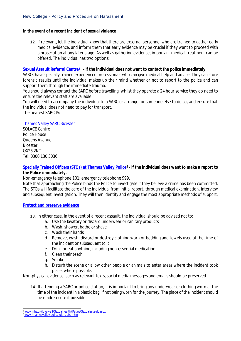# **In the event of a recent incident of sexual violence**

12. If relevant, let the individual know that there are external personnel who are trained to gather early medical evidence, and inform them that early evidence may be crucial if they want to proceed with a prosecution at any later stage. As well as gathering evidence, important medical treatment can be offered. The individual has two options:

#### **[Sexual Assault Referral Centre](http://www.nhs.uk/Livewell/Sexualhealth/Pages/Sexualassault.aspx)5 - if the individual does not want to contact the police immediately**

SARCs have specially trained experienced professionals who can give medical help and advice. They can store forensic results until the individual makes up their mind whether or not to report to the police and can support them through the immediate trauma.

You should always contact the SARC before travelling; whilst they operate a 24 hour service they do need to ensure the relevant staff are available.

You will need to accompany the individual to a SARC or arrange for someone else to do so, and ensure that the individual does not need to pay for transport.

The nearest SARC IS:

# [Thames Valley SARC Bicester](http://www.solacesarc.org.uk/find-solace)

SOLACE Centre Police House Queens Avenue Bicester OX26 2NT Tel: 0300 130 3036

# **Specially Trained Officers (STOs) [at Thames Valley Police](http://www.thamesvalley.police.uk/reptcr.htm)<sup>6</sup> - if the individual does want to make a report to the Police immediately.**

Non-emergency telephone 101; emergency telephone 999.

Note that approaching the Police binds the Police to investigate if they believe a crime has been committed. The STOs will facilitate the care of the individual from initial report, through medical examination, interview and subsequent investigation. They will then identify and engage the most appropriate methods of support.

# **[Protect and preserve evidence](http://www.thamesvalley.police.uk/crprev/crprev/crprev-pers/crprev-pers-sexualassault/crprev-pers-sexualassault-ssa/crprev-pers-sexualassault-ssa-inv.htm)**

- 13. In either case, in the event of a recent assault, the individual should be advised not to:
	- a. Use the lavatory or discard underwear or sanitary products
	- b. Wash, shower, bathe or shave
	- c. Wash their hands
	- d. Remove, wash, discard or destroy clothing worn or bedding and towels used at the time of the incident or subsequent to it
	- e. Drink or eat anything, including non-essential medication
	- f. Clean their teeth
	- g. Smoke
	- h. Disturb the scene or allow other people or animals to enter areas where the incident took place, where possible.

Non-physical evidence, such as relevant texts, social media messages and emails should be preserved.

14. If attending a SARC or police station, it is important to bring any underwear or clothing worn at the time of the incident in a plastic bag, if not being worn for the journey. The place of the incident should be made secure if possible.

<sup>5</sup> [www.nhs.uk/Livewell/Sexualhealth/Pages/Sexualassault.aspx](file:///C:\Users\admn1831\AppData\Local\Microsoft\Windows\Temporary%20Internet%20Files\Content.Outlook\QWQWWM4Z\www.nhs.uk\Livewell\Sexualhealth\Pages\Sexualassault.aspx)

<sup>6</sup> [www.thamesvalley.police.uk/reptcr.htm](file:///C:\Users\admn1831\AppData\Local\Microsoft\Windows\Temporary%20Internet%20Files\Content.Outlook\QWQWWM4Z\www.thamesvalley.police.uk\reptcr.htm)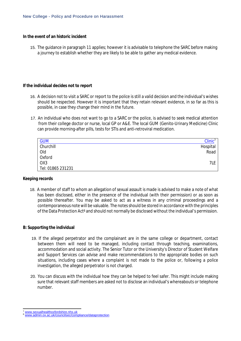#### **In the event of an historic incident**

15. The guidance in paragraph 11 applies; however it is advisable to telephone the SARC before making a journey to establish whether they are likely to be able to gather any medical evidence.

#### **If the individual decides not to report**

- 16. A decision not to visit a SARC or report to the police is still a valid decision and the individual's wishes should be respected. However it is important that they retain relevant evidence, in so far as this is possible, in case they change their mind in the future.
- 17. An individual who does not want to go to a SARC or the police, is advised to seek medical attention from their college doctor or nurse, local GP or A&E. The local GUM (Genito-Urinary Medicine) Clinic can provide morning-after pills, tests for STIs and anti-retroviral medication.

| <b>GUM</b>        | Clinic <sup>7</sup> |
|-------------------|---------------------|
| <b>Churchill</b>  | Hospital            |
| Old               | Road                |
| <b>Oxford</b>     |                     |
| OX <sub>3</sub>   | 7LE                 |
| Tel: 01865 231231 |                     |

# **Keeping records**

18. A member of staff to whom an allegation of sexual assault is made is advised to make a note of what has been disclosed, either in the presence of the individual (with their permission) or as soon as possible thereafter. You may be asked to act as a witness in any criminal proceedings and a contemporaneous note will be valuable. The notesshould be stored in accordance with the principles of the Data Protection Act<sup>8</sup> and should not normally be disclosed without the individual's permission.

# **B: Supporting the individual**

- 19. If the alleged perpetrator and the complainant are in the same college or department, contact between them will need to be managed, including contact through teaching, examinations, accommodation and social activity. The Senior Tutor or the University's Director of Student Welfare and Support Services can advise and make recommendations to the appropriate bodies on such situations, including cases where a complaint is not made to the police or, following a police investigation, the alleged perpetrator is not charged.
- 20. You can discuss with the individual how they can be helped to feel safer. This might include making sure that relevant staff members are asked not to disclose an individual's whereabouts or telephone number.

[www.sexualhealthoxfordshire.nhs.uk](http://www.sexualhealthoxfordshire.nhs.uk/)

[www.admin.ox.ac.uk/councilsec/compliance/dataprotection](http://www.admin.ox.ac.uk/councilsec/compliance/dataprotection)